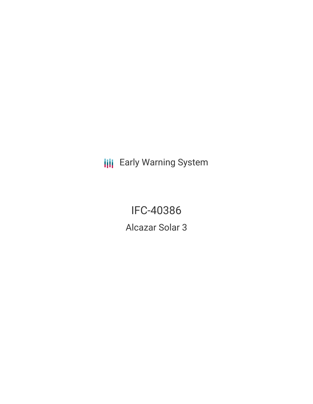**III** Early Warning System

IFC-40386 Alcazar Solar 3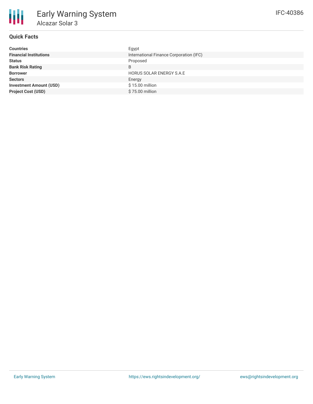| <b>Countries</b>               | Egypt                                   |
|--------------------------------|-----------------------------------------|
| <b>Financial Institutions</b>  | International Finance Corporation (IFC) |
| <b>Status</b>                  | Proposed                                |
| <b>Bank Risk Rating</b>        | B                                       |
| <b>Borrower</b>                | <b>HORUS SOLAR ENERGY S.A.E</b>         |
| <b>Sectors</b>                 | Energy                                  |
| <b>Investment Amount (USD)</b> | \$15.00 million                         |
| <b>Project Cost (USD)</b>      | \$75.00 million                         |
|                                |                                         |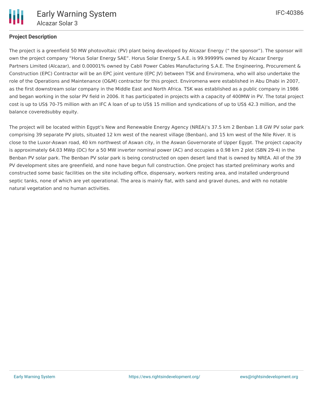

# **Project Description**

The project is a greenfield 50 MW photovoltaic (PV) plant being developed by Alcazar Energy (" the sponsor"). The sponsor will own the project company "Horus Solar Energy SAE". Horus Solar Energy S.A.E. is 99.99999% owned by Alcazar Energy Partners Limited (Alcazar), and 0.00001% owned by Cabli Power Cables Manufacturing S.A.E. The Engineering, Procurement & Construction (EPC) Contractor will be an EPC joint venture (EPC JV) between TSK and Enviromena, who will also undertake the role of the Operations and Maintenance (O&M) contractor for this project. Enviromena were established in Abu Dhabi in 2007, as the first downstream solar company in the Middle East and North Africa. TSK was established as a public company in 1986 and began working in the solar PV field in 2006. It has participated in projects with a capacity of 400MW in PV. The total project cost is up to US\$ 70-75 million with an IFC A loan of up to US\$ 15 million and syndications of up to US\$ 42.3 million, and the balance coveredsubby equity.

The project will be located within Egypt's New and Renewable Energy Agency (NREA)'s 37.5 km 2 Benban 1.8 GW PV solar park comprising 39 separate PV plots, situated 12 km west of the nearest village (Benban), and 15 km west of the Nile River. It is close to the Luxor-Aswan road, 40 km northwest of Aswan city, in the Aswan Governorate of Upper Egypt. The project capacity is approximately 64.03 MWp (DC) for a 50 MW inverter nominal power (AC) and occupies a 0.98 km 2 plot (SBN 29-4) in the Benban PV solar park. The Benban PV solar park is being constructed on open desert land that is owned by NREA. All of the 39 PV development sites are greenfield, and none have begun full construction. One project has started preliminary works and constructed some basic facilities on the site including office, dispensary, workers resting area, and installed underground septic tanks, none of which are yet operational. The area is mainly flat, with sand and gravel dunes, and with no notable natural vegetation and no human activities.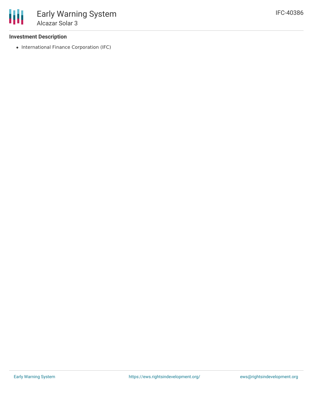### **Investment Description**

• International Finance Corporation (IFC)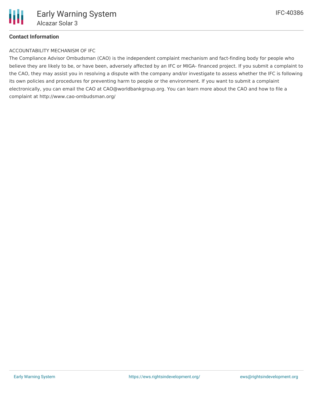# **Contact Information**

#### ACCOUNTABILITY MECHANISM OF IFC

The Compliance Advisor Ombudsman (CAO) is the independent complaint mechanism and fact-finding body for people who believe they are likely to be, or have been, adversely affected by an IFC or MIGA- financed project. If you submit a complaint to the CAO, they may assist you in resolving a dispute with the company and/or investigate to assess whether the IFC is following its own policies and procedures for preventing harm to people or the environment. If you want to submit a complaint electronically, you can email the CAO at CAO@worldbankgroup.org. You can learn more about the CAO and how to file a complaint at http://www.cao-ombudsman.org/